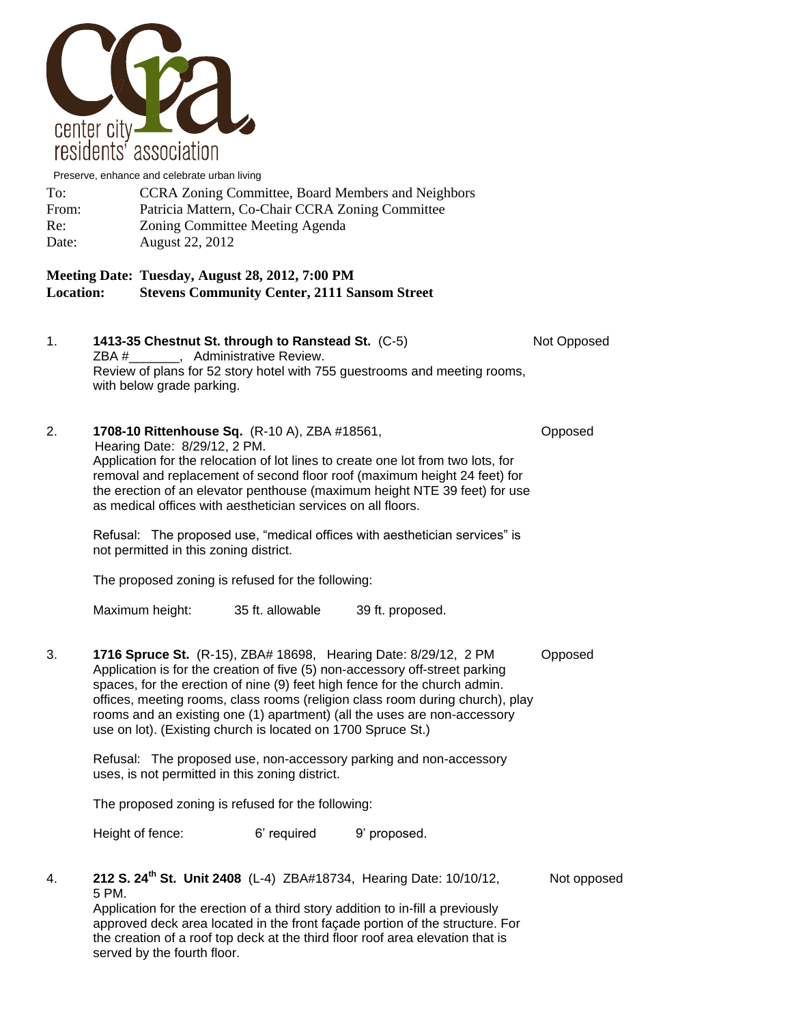

Preserve, enhance and celebrate urban living

| To:   | <b>CCRA Zoning Committee, Board Members and Neighbors</b> |
|-------|-----------------------------------------------------------|
| From: | Patricia Mattern, Co-Chair CCRA Zoning Committee          |
| Re:   | Zoning Committee Meeting Agenda                           |
| Date: | August 22, 2012                                           |

## **Meeting Date: Tuesday, August 28, 2012, 7:00 PM Location: Stevens Community Center, 2111 Sansom Street**

- 1. **1413-35 Chestnut St. through to Ranstead St.** (C-5) Not Opposed ZBA #\_\_\_\_\_\_\_, Administrative Review. Review of plans for 52 story hotel with 755 guestrooms and meeting rooms, with below grade parking.
- 2. **1708-10 Rittenhouse Sq.** (R-10 A), ZBA #18561, Opposed Hearing Date: 8/29/12, 2 PM. Application for the relocation of lot lines to create one lot from two lots, for removal and replacement of second floor roof (maximum height 24 feet) for the erection of an elevator penthouse (maximum height NTE 39 feet) for use as medical offices with aesthetician services on all floors.

Refusal: The proposed use, "medical offices with aesthetician services" is not permitted in this zoning district.

The proposed zoning is refused for the following:

Maximum height: 35 ft. allowable 39 ft. proposed.

3. **1716 Spruce St.** (R-15), ZBA# 18698, Hearing Date: 8/29/12, 2 PM Opposed Application is for the creation of five (5) non-accessory off-street parking spaces, for the erection of nine (9) feet high fence for the church admin. offices, meeting rooms, class rooms (religion class room during church), play rooms and an existing one (1) apartment) (all the uses are non-accessory use on lot). (Existing church is located on 1700 Spruce St.)

Refusal: The proposed use, non-accessory parking and non-accessory uses, is not permitted in this zoning district.

The proposed zoning is refused for the following:

Height of fence: 6' required 9' proposed.

## 4. **212 S. 24th St. Unit 2408** (L-4) ZBA#18734,Hearing Date: 10/10/12, Not opposed 5 PM.

Application for the erection of a third story addition to in-fill a previously approved deck area located in the front façade portion of the structure. For the creation of a roof top deck at the third floor roof area elevation that is served by the fourth floor.